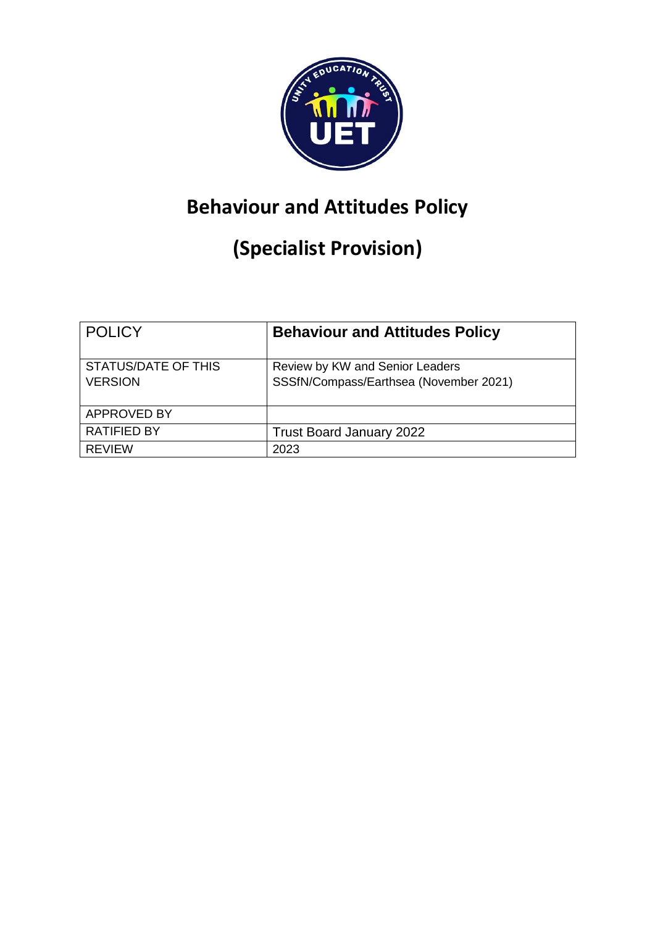

# **Behaviour and Attitudes Policy**

# **(Specialist Provision)**

| <b>POLICY</b>                         | <b>Behaviour and Attitudes Policy</b>                                     |
|---------------------------------------|---------------------------------------------------------------------------|
| STATUS/DATE OF THIS<br><b>VERSION</b> | Review by KW and Senior Leaders<br>SSSfN/Compass/Earthsea (November 2021) |
| APPROVED BY                           |                                                                           |
| <b>RATIFIED BY</b>                    | <b>Trust Board January 2022</b>                                           |
| <b>REVIEW</b>                         | 2023                                                                      |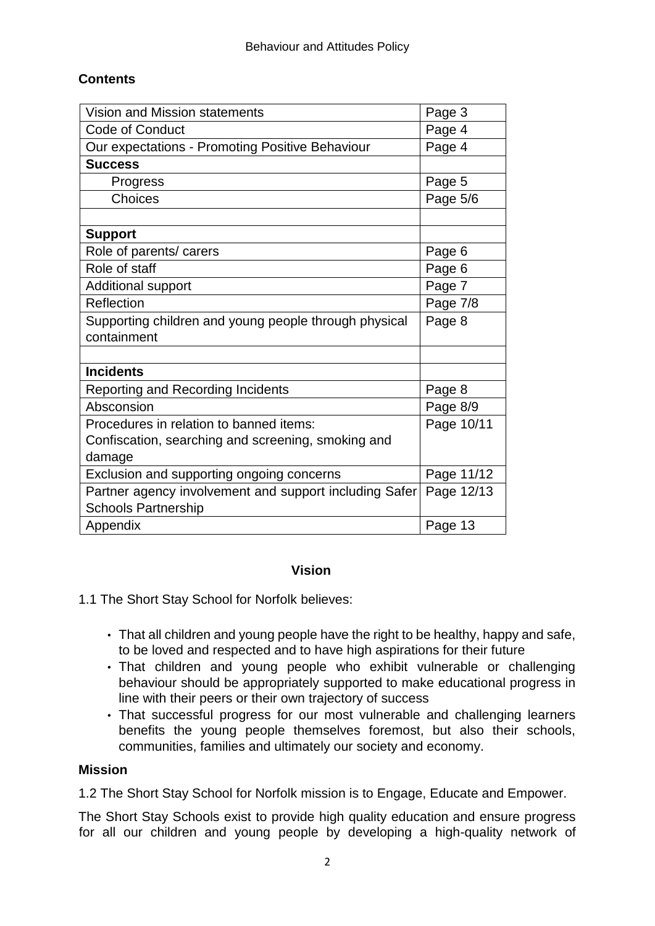# **Contents**

| Vision and Mission statements                          | Page 3     |
|--------------------------------------------------------|------------|
| <b>Code of Conduct</b>                                 | Page 4     |
| Our expectations - Promoting Positive Behaviour        | Page 4     |
| <b>Success</b>                                         |            |
| Progress                                               | Page 5     |
| Choices                                                | Page 5/6   |
|                                                        |            |
| <b>Support</b>                                         |            |
| Role of parents/ carers                                | Page 6     |
| Role of staff                                          | Page 6     |
| <b>Additional support</b>                              | Page 7     |
| Reflection                                             | Page 7/8   |
| Supporting children and young people through physical  | Page 8     |
| containment                                            |            |
|                                                        |            |
| <b>Incidents</b>                                       |            |
| Reporting and Recording Incidents                      | Page 8     |
| Absconsion                                             | Page 8/9   |
| Procedures in relation to banned items:                | Page 10/11 |
| Confiscation, searching and screening, smoking and     |            |
| damage                                                 |            |
| Exclusion and supporting ongoing concerns              | Page 11/12 |
| Partner agency involvement and support including Safer | Page 12/13 |
| <b>Schools Partnership</b>                             |            |
| Appendix                                               | Page 13    |

#### **Vision**

- 1.1 The Short Stay School for Norfolk believes:
	- That all children and young people have the right to be healthy, happy and safe, to be loved and respected and to have high aspirations for their future
	- That children and young people who exhibit vulnerable or challenging behaviour should be appropriately supported to make educational progress in line with their peers or their own trajectory of success
	- That successful progress for our most vulnerable and challenging learners benefits the young people themselves foremost, but also their schools, communities, families and ultimately our society and economy.

#### **Mission**

1.2 The Short Stay School for Norfolk mission is to Engage, Educate and Empower.

The Short Stay Schools exist to provide high quality education and ensure progress for all our children and young people by developing a high-quality network of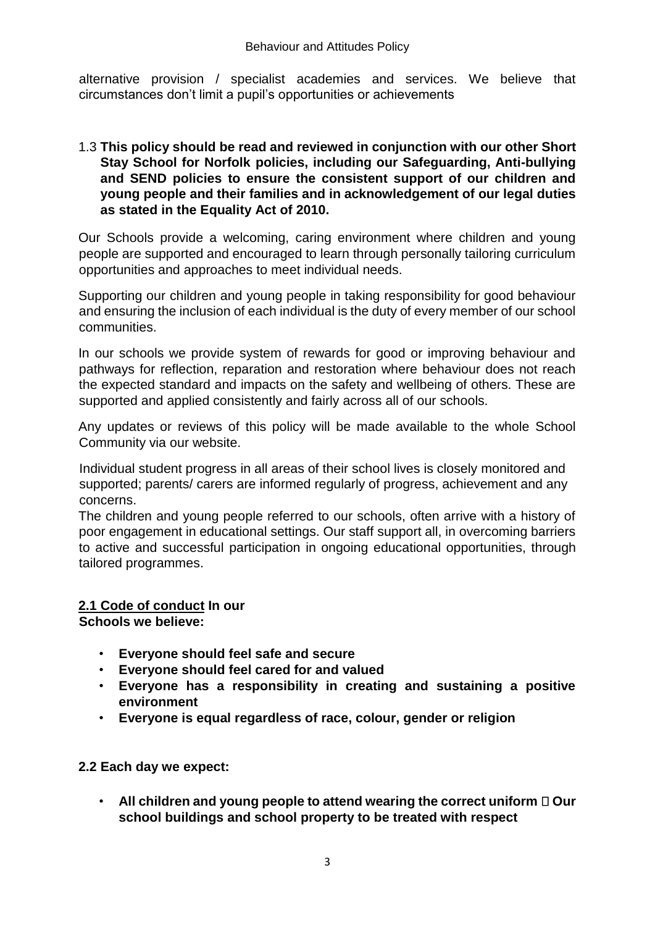alternative provision / specialist academies and services. We believe that circumstances don't limit a pupil's opportunities or achievements

#### 1.3 **This policy should be read and reviewed in conjunction with our other Short Stay School for Norfolk policies, including our Safeguarding, Anti-bullying and SEND policies to ensure the consistent support of our children and young people and their families and in acknowledgement of our legal duties as stated in the Equality Act of 2010.**

Our Schools provide a welcoming, caring environment where children and young people are supported and encouraged to learn through personally tailoring curriculum opportunities and approaches to meet individual needs.

Supporting our children and young people in taking responsibility for good behaviour and ensuring the inclusion of each individual is the duty of every member of our school communities.

In our schools we provide system of rewards for good or improving behaviour and pathways for reflection, reparation and restoration where behaviour does not reach the expected standard and impacts on the safety and wellbeing of others. These are supported and applied consistently and fairly across all of our schools.

Any updates or reviews of this policy will be made available to the whole School Community via our website.

Individual student progress in all areas of their school lives is closely monitored and supported; parents/ carers are informed regularly of progress, achievement and any concerns.

The children and young people referred to our schools, often arrive with a history of poor engagement in educational settings. Our staff support all, in overcoming barriers to active and successful participation in ongoing educational opportunities, through tailored programmes.

#### **2.1 Code of conduct In our Schools we believe:**

- **Everyone should feel safe and secure**
- **Everyone should feel cared for and valued**
- **Everyone has a responsibility in creating and sustaining a positive environment**
- **Everyone is equal regardless of race, colour, gender or religion**

**2.2 Each day we expect:** 

All children and young people to attend wearing the correct uniform  $\Box$  Our **school buildings and school property to be treated with respect**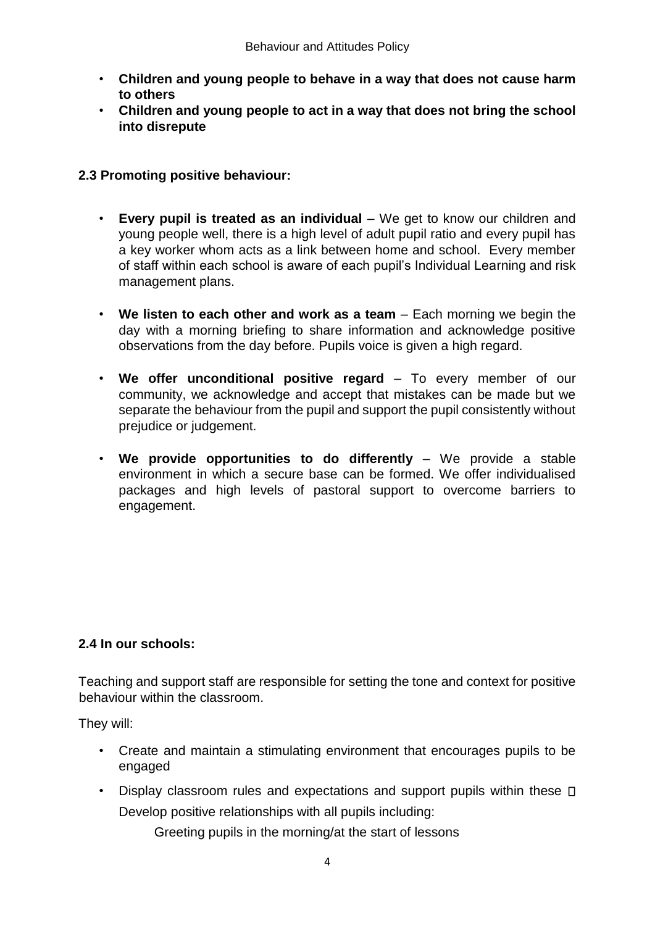- **Children and young people to behave in a way that does not cause harm to others**
- **Children and young people to act in a way that does not bring the school into disrepute**

#### **2.3 Promoting positive behaviour:**

- **Every pupil is treated as an individual** We get to know our children and young people well, there is a high level of adult pupil ratio and every pupil has a key worker whom acts as a link between home and school. Every member of staff within each school is aware of each pupil's Individual Learning and risk management plans.
- **We listen to each other and work as a team**  Each morning we begin the day with a morning briefing to share information and acknowledge positive observations from the day before. Pupils voice is given a high regard.
- **We offer unconditional positive regard**  To every member of our community, we acknowledge and accept that mistakes can be made but we separate the behaviour from the pupil and support the pupil consistently without prejudice or judgement.
- **We provide opportunities to do differently**  We provide a stable environment in which a secure base can be formed. We offer individualised packages and high levels of pastoral support to overcome barriers to engagement.

# **2.4 In our schools:**

Teaching and support staff are responsible for setting the tone and context for positive behaviour within the classroom.

They will:

- Create and maintain a stimulating environment that encourages pupils to be engaged
- Display classroom rules and expectations and support pupils within these  $\square$ Develop positive relationships with all pupils including:

Greeting pupils in the morning/at the start of lessons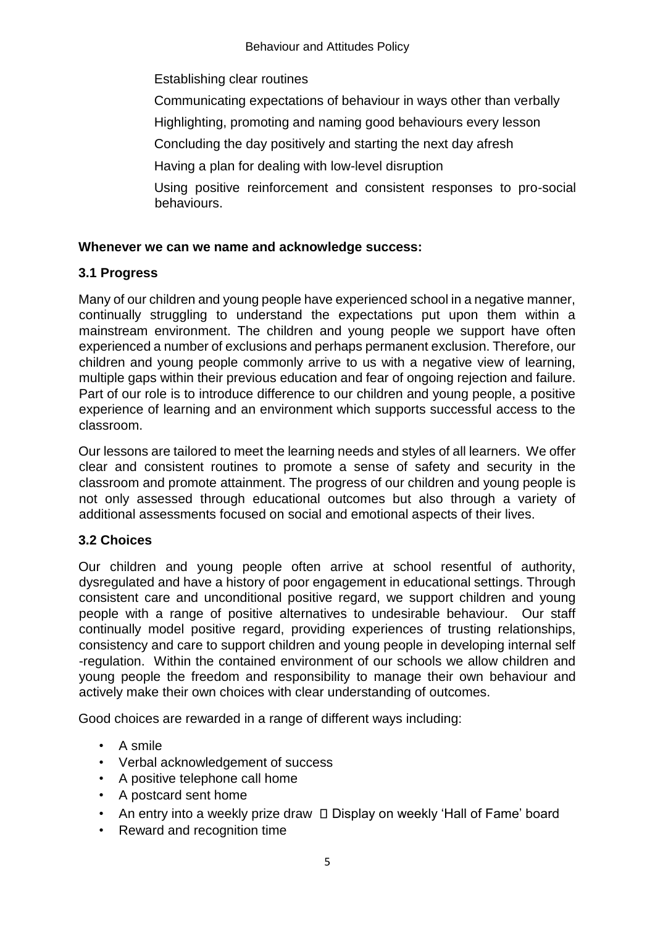Establishing clear routines

Communicating expectations of behaviour in ways other than verbally

Highlighting, promoting and naming good behaviours every lesson

Concluding the day positively and starting the next day afresh

Having a plan for dealing with low-level disruption

Using positive reinforcement and consistent responses to pro-social behaviours.

#### **Whenever we can we name and acknowledge success:**

#### **3.1 Progress**

Many of our children and young people have experienced school in a negative manner, continually struggling to understand the expectations put upon them within a mainstream environment. The children and young people we support have often experienced a number of exclusions and perhaps permanent exclusion. Therefore, our children and young people commonly arrive to us with a negative view of learning, multiple gaps within their previous education and fear of ongoing rejection and failure. Part of our role is to introduce difference to our children and young people, a positive experience of learning and an environment which supports successful access to the classroom.

Our lessons are tailored to meet the learning needs and styles of all learners. We offer clear and consistent routines to promote a sense of safety and security in the classroom and promote attainment. The progress of our children and young people is not only assessed through educational outcomes but also through a variety of additional assessments focused on social and emotional aspects of their lives.

# **3.2 Choices**

Our children and young people often arrive at school resentful of authority, dysregulated and have a history of poor engagement in educational settings. Through consistent care and unconditional positive regard, we support children and young people with a range of positive alternatives to undesirable behaviour. Our staff continually model positive regard, providing experiences of trusting relationships, consistency and care to support children and young people in developing internal self -regulation. Within the contained environment of our schools we allow children and young people the freedom and responsibility to manage their own behaviour and actively make their own choices with clear understanding of outcomes.

Good choices are rewarded in a range of different ways including:

- A smile
- Verbal acknowledgement of success
- A positive telephone call home
- A postcard sent home
- An entry into a weekly prize draw  $\Box$  Display on weekly 'Hall of Fame' board
- Reward and recognition time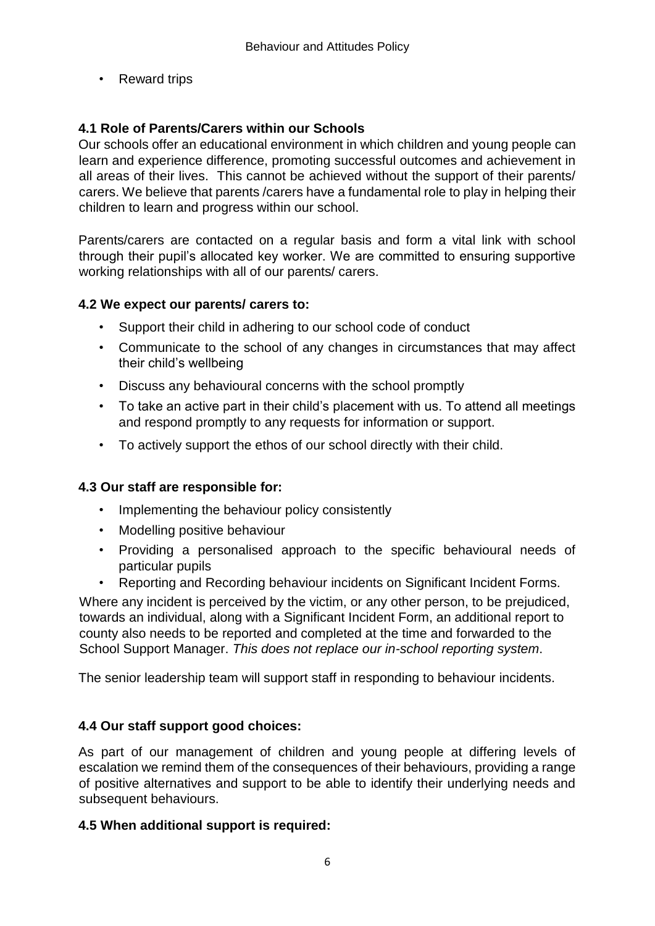• Reward trips

# **4.1 Role of Parents/Carers within our Schools**

Our schools offer an educational environment in which children and young people can learn and experience difference, promoting successful outcomes and achievement in all areas of their lives. This cannot be achieved without the support of their parents/ carers. We believe that parents /carers have a fundamental role to play in helping their children to learn and progress within our school.

Parents/carers are contacted on a regular basis and form a vital link with school through their pupil's allocated key worker. We are committed to ensuring supportive working relationships with all of our parents/ carers.

#### **4.2 We expect our parents/ carers to:**

- Support their child in adhering to our school code of conduct
- Communicate to the school of any changes in circumstances that may affect their child's wellbeing
- Discuss any behavioural concerns with the school promptly
- To take an active part in their child's placement with us. To attend all meetings and respond promptly to any requests for information or support.
- To actively support the ethos of our school directly with their child.

# **4.3 Our staff are responsible for:**

- Implementing the behaviour policy consistently
- Modelling positive behaviour
- Providing a personalised approach to the specific behavioural needs of particular pupils
- Reporting and Recording behaviour incidents on Significant Incident Forms.

Where any incident is perceived by the victim, or any other person, to be prejudiced, towards an individual, along with a Significant Incident Form, an additional report to county also needs to be reported and completed at the time and forwarded to the School Support Manager. *This does not replace our in-school reporting system*.

The senior leadership team will support staff in responding to behaviour incidents.

# **4.4 Our staff support good choices:**

As part of our management of children and young people at differing levels of escalation we remind them of the consequences of their behaviours, providing a range of positive alternatives and support to be able to identify their underlying needs and subsequent behaviours.

#### **4.5 When additional support is required:**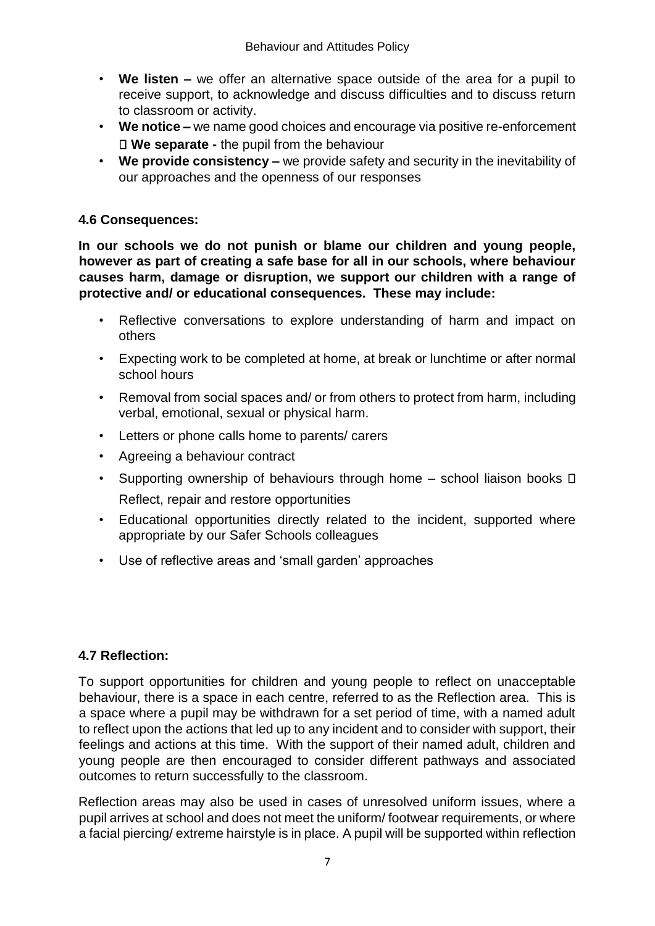- **We listen –** we offer an alternative space outside of the area for a pupil to receive support, to acknowledge and discuss difficulties and to discuss return to classroom or activity.
- **We notice –** we name good choices and encourage via positive re-enforcement **We separate -** the pupil from the behaviour
- **We provide consistency –** we provide safety and security in the inevitability of our approaches and the openness of our responses

#### **4.6 Consequences:**

**In our schools we do not punish or blame our children and young people, however as part of creating a safe base for all in our schools, where behaviour causes harm, damage or disruption, we support our children with a range of protective and/ or educational consequences. These may include:** 

- Reflective conversations to explore understanding of harm and impact on others
- Expecting work to be completed at home, at break or lunchtime or after normal school hours
- Removal from social spaces and/ or from others to protect from harm, including verbal, emotional, sexual or physical harm.
- Letters or phone calls home to parents/ carers
- Agreeing a behaviour contract
- Supporting ownership of behaviours through home  $-$  school liaison books  $\Box$ Reflect, repair and restore opportunities
- Educational opportunities directly related to the incident, supported where appropriate by our Safer Schools colleagues
- Use of reflective areas and 'small garden' approaches

# **4.7 Reflection:**

To support opportunities for children and young people to reflect on unacceptable behaviour, there is a space in each centre, referred to as the Reflection area. This is a space where a pupil may be withdrawn for a set period of time, with a named adult to reflect upon the actions that led up to any incident and to consider with support, their feelings and actions at this time. With the support of their named adult, children and young people are then encouraged to consider different pathways and associated outcomes to return successfully to the classroom.

Reflection areas may also be used in cases of unresolved uniform issues, where a pupil arrives at school and does not meet the uniform/ footwear requirements, or where a facial piercing/ extreme hairstyle is in place. A pupil will be supported within reflection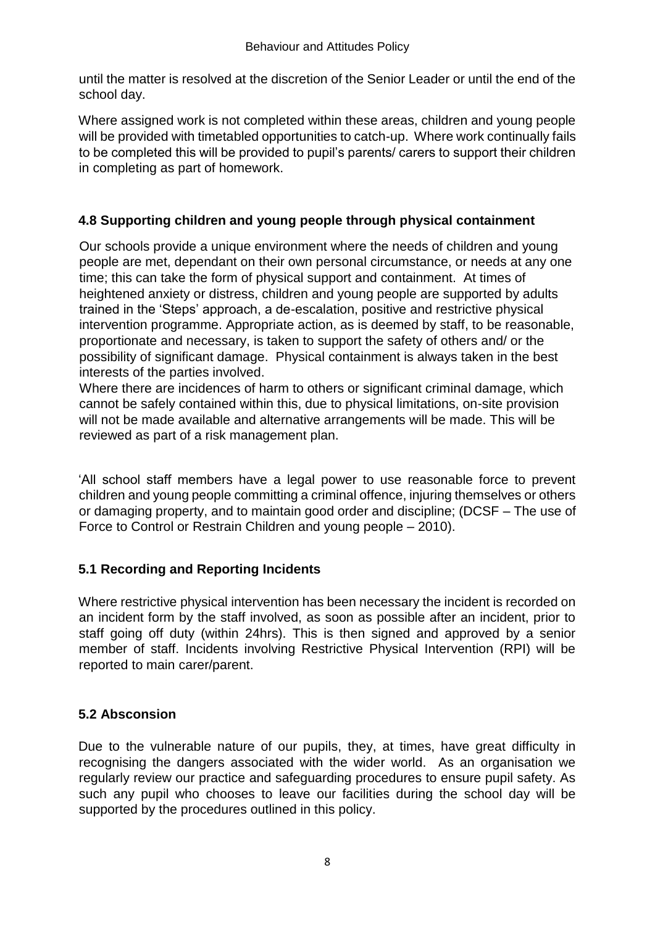until the matter is resolved at the discretion of the Senior Leader or until the end of the school day.

Where assigned work is not completed within these areas, children and young people will be provided with timetabled opportunities to catch-up. Where work continually fails to be completed this will be provided to pupil's parents/ carers to support their children in completing as part of homework.

# **4.8 Supporting children and young people through physical containment**

Our schools provide a unique environment where the needs of children and young people are met, dependant on their own personal circumstance, or needs at any one time; this can take the form of physical support and containment. At times of heightened anxiety or distress, children and young people are supported by adults trained in the 'Steps' approach, a de-escalation, positive and restrictive physical intervention programme. Appropriate action, as is deemed by staff, to be reasonable, proportionate and necessary, is taken to support the safety of others and/ or the possibility of significant damage. Physical containment is always taken in the best interests of the parties involved.

Where there are incidences of harm to others or significant criminal damage, which cannot be safely contained within this, due to physical limitations, on-site provision will not be made available and alternative arrangements will be made. This will be reviewed as part of a risk management plan.

'All school staff members have a legal power to use reasonable force to prevent children and young people committing a criminal offence, injuring themselves or others or damaging property, and to maintain good order and discipline; (DCSF – The use of Force to Control or Restrain Children and young people – 2010).

# **5.1 Recording and Reporting Incidents**

Where restrictive physical intervention has been necessary the incident is recorded on an incident form by the staff involved, as soon as possible after an incident, prior to staff going off duty (within 24hrs). This is then signed and approved by a senior member of staff. Incidents involving Restrictive Physical Intervention (RPI) will be reported to main carer/parent.

# **5.2 Absconsion**

Due to the vulnerable nature of our pupils, they, at times, have great difficulty in recognising the dangers associated with the wider world. As an organisation we regularly review our practice and safeguarding procedures to ensure pupil safety. As such any pupil who chooses to leave our facilities during the school day will be supported by the procedures outlined in this policy.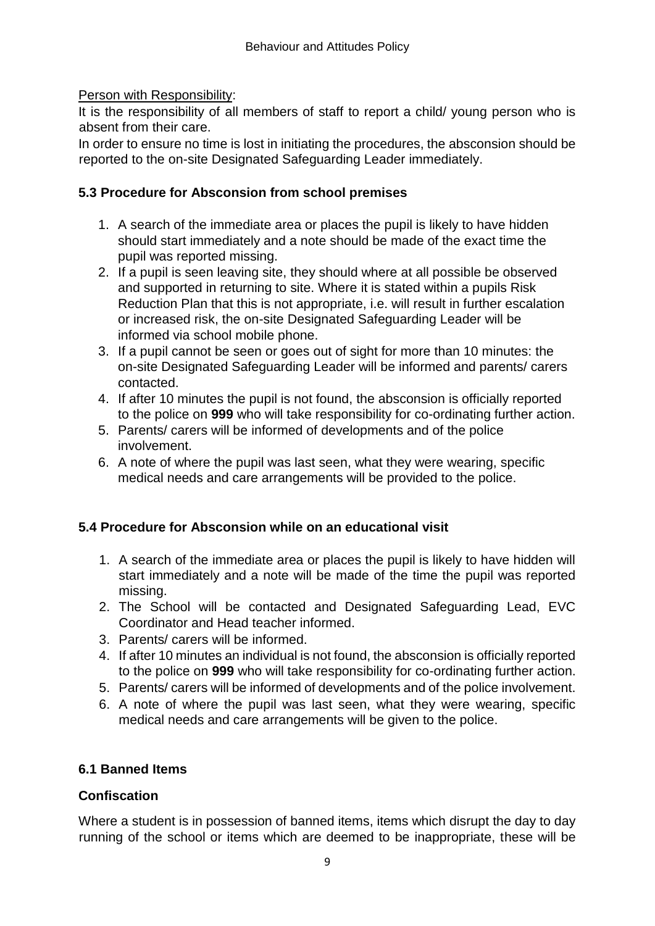Person with Responsibility:

It is the responsibility of all members of staff to report a child/ young person who is absent from their care.

In order to ensure no time is lost in initiating the procedures, the absconsion should be reported to the on-site Designated Safeguarding Leader immediately.

# **5.3 Procedure for Absconsion from school premises**

- 1. A search of the immediate area or places the pupil is likely to have hidden should start immediately and a note should be made of the exact time the pupil was reported missing.
- 2. If a pupil is seen leaving site, they should where at all possible be observed and supported in returning to site. Where it is stated within a pupils Risk Reduction Plan that this is not appropriate, i.e. will result in further escalation or increased risk, the on-site Designated Safeguarding Leader will be informed via school mobile phone.
- 3. If a pupil cannot be seen or goes out of sight for more than 10 minutes: the on-site Designated Safeguarding Leader will be informed and parents/ carers contacted.
- 4. If after 10 minutes the pupil is not found, the absconsion is officially reported to the police on **999** who will take responsibility for co-ordinating further action.
- 5. Parents/ carers will be informed of developments and of the police involvement.
- 6. A note of where the pupil was last seen, what they were wearing, specific medical needs and care arrangements will be provided to the police.

# **5.4 Procedure for Absconsion while on an educational visit**

- 1. A search of the immediate area or places the pupil is likely to have hidden will start immediately and a note will be made of the time the pupil was reported missing.
- 2. The School will be contacted and Designated Safeguarding Lead, EVC Coordinator and Head teacher informed.
- 3. Parents/ carers will be informed.
- 4. If after 10 minutes an individual is not found, the absconsion is officially reported to the police on **999** who will take responsibility for co-ordinating further action.
- 5. Parents/ carers will be informed of developments and of the police involvement.
- 6. A note of where the pupil was last seen, what they were wearing, specific medical needs and care arrangements will be given to the police.

# **6.1 Banned Items**

# **Confiscation**

Where a student is in possession of banned items, items which disrupt the day to day running of the school or items which are deemed to be inappropriate, these will be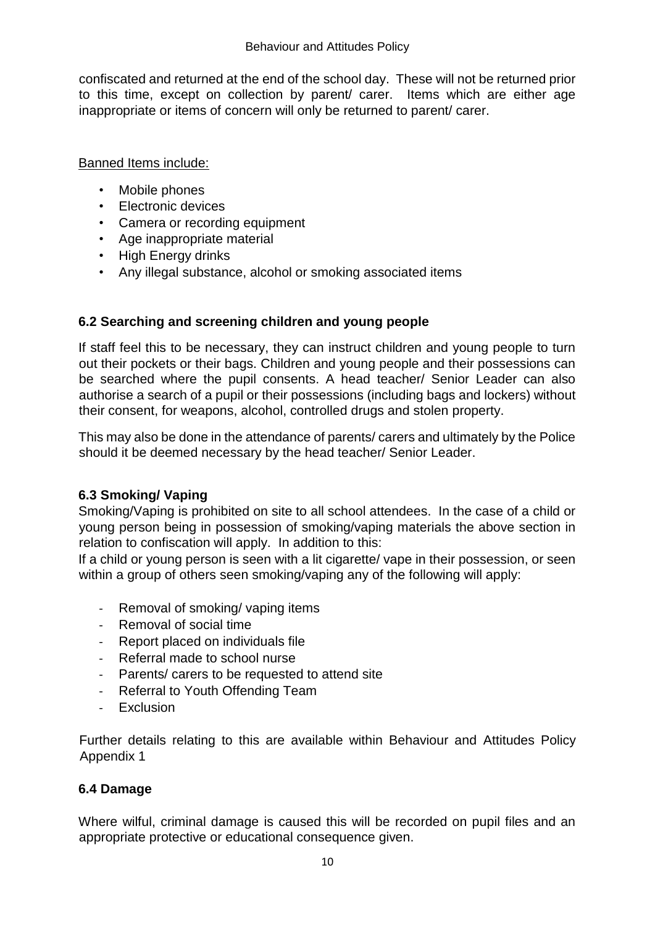confiscated and returned at the end of the school day. These will not be returned prior to this time, except on collection by parent/ carer. Items which are either age inappropriate or items of concern will only be returned to parent/ carer.

Banned Items include:

- Mobile phones
- Electronic devices
- Camera or recording equipment
- Age inappropriate material
- High Energy drinks
- Any illegal substance, alcohol or smoking associated items

#### **6.2 Searching and screening children and young people**

If staff feel this to be necessary, they can instruct children and young people to turn out their pockets or their bags. Children and young people and their possessions can be searched where the pupil consents. A head teacher/ Senior Leader can also authorise a search of a pupil or their possessions (including bags and lockers) without their consent, for weapons, alcohol, controlled drugs and stolen property.

This may also be done in the attendance of parents/ carers and ultimately by the Police should it be deemed necessary by the head teacher/ Senior Leader.

# **6.3 Smoking/ Vaping**

Smoking/Vaping is prohibited on site to all school attendees. In the case of a child or young person being in possession of smoking/vaping materials the above section in relation to confiscation will apply. In addition to this:

If a child or young person is seen with a lit cigarette/ vape in their possession, or seen within a group of others seen smoking/vaping any of the following will apply:

- Removal of smoking/ vaping items
- Removal of social time
- Report placed on individuals file
- Referral made to school nurse
- Parents/ carers to be requested to attend site
- Referral to Youth Offending Team
- Exclusion

Further details relating to this are available within Behaviour and Attitudes Policy Appendix 1

#### **6.4 Damage**

Where wilful, criminal damage is caused this will be recorded on pupil files and an appropriate protective or educational consequence given.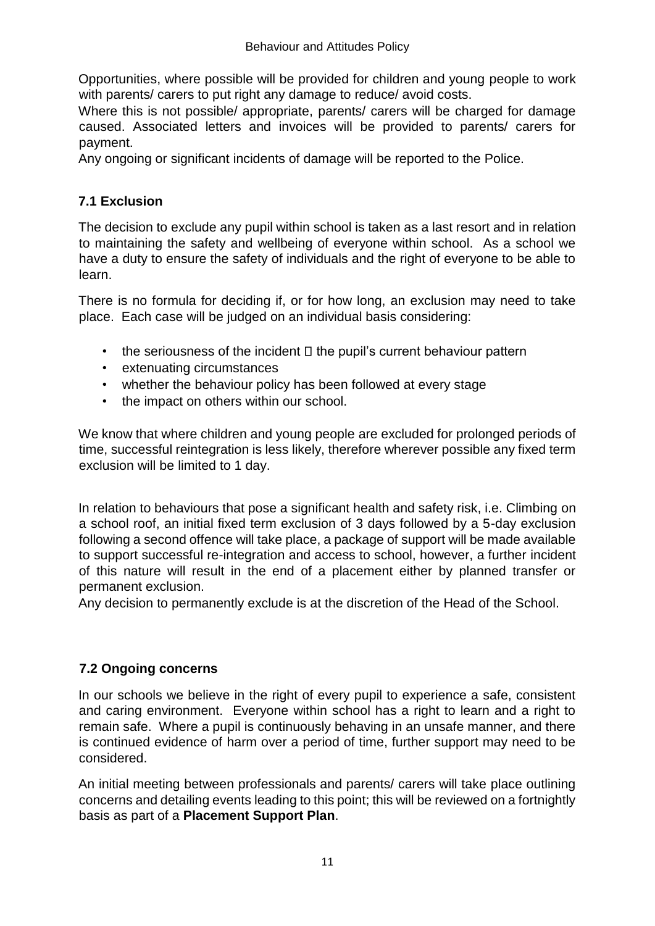Opportunities, where possible will be provided for children and young people to work with parents/ carers to put right any damage to reduce/ avoid costs.

Where this is not possible/ appropriate, parents/ carers will be charged for damage caused. Associated letters and invoices will be provided to parents/ carers for payment.

Any ongoing or significant incidents of damage will be reported to the Police.

# **7.1 Exclusion**

The decision to exclude any pupil within school is taken as a last resort and in relation to maintaining the safety and wellbeing of everyone within school. As a school we have a duty to ensure the safety of individuals and the right of everyone to be able to learn.

There is no formula for deciding if, or for how long, an exclusion may need to take place. Each case will be judged on an individual basis considering:

- the seriousness of the incident  $\Box$  the pupil's current behaviour pattern
- extenuating circumstances
- whether the behaviour policy has been followed at every stage
- the impact on others within our school.

We know that where children and young people are excluded for prolonged periods of time, successful reintegration is less likely, therefore wherever possible any fixed term exclusion will be limited to 1 day.

In relation to behaviours that pose a significant health and safety risk, i.e. Climbing on a school roof, an initial fixed term exclusion of 3 days followed by a 5-day exclusion following a second offence will take place, a package of support will be made available to support successful re-integration and access to school, however, a further incident of this nature will result in the end of a placement either by planned transfer or permanent exclusion.

Any decision to permanently exclude is at the discretion of the Head of the School.

# **7.2 Ongoing concerns**

In our schools we believe in the right of every pupil to experience a safe, consistent and caring environment. Everyone within school has a right to learn and a right to remain safe. Where a pupil is continuously behaving in an unsafe manner, and there is continued evidence of harm over a period of time, further support may need to be considered.

An initial meeting between professionals and parents/ carers will take place outlining concerns and detailing events leading to this point; this will be reviewed on a fortnightly basis as part of a **Placement Support Plan**.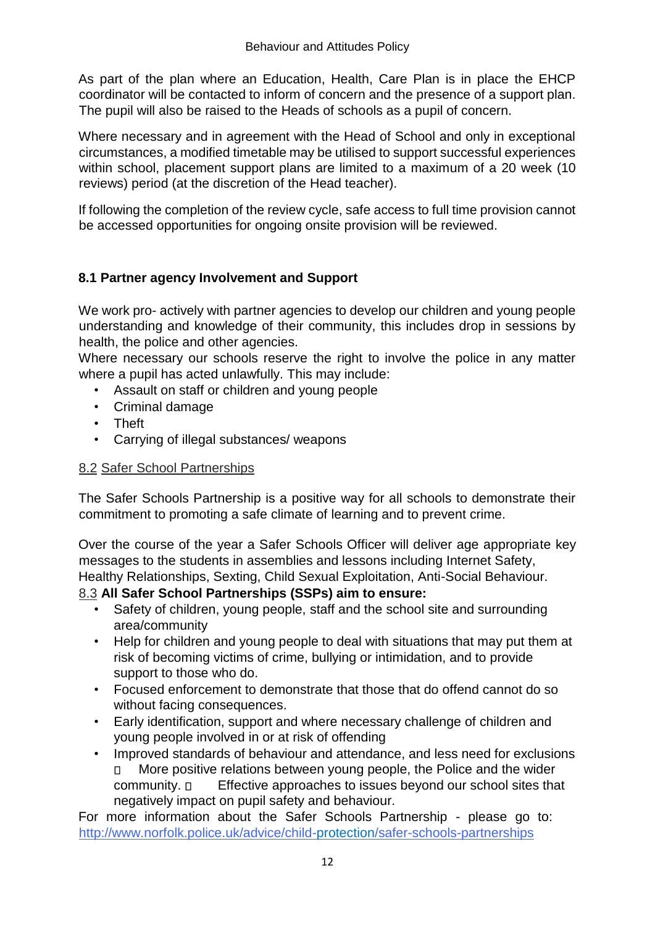As part of the plan where an Education, Health, Care Plan is in place the EHCP coordinator will be contacted to inform of concern and the presence of a support plan. The pupil will also be raised to the Heads of schools as a pupil of concern.

Where necessary and in agreement with the Head of School and only in exceptional circumstances, a modified timetable may be utilised to support successful experiences within school, placement support plans are limited to a maximum of a 20 week (10 reviews) period (at the discretion of the Head teacher).

If following the completion of the review cycle, safe access to full time provision cannot be accessed opportunities for ongoing onsite provision will be reviewed.

# **8.1 Partner agency Involvement and Support**

We work pro- actively with partner agencies to develop our children and young people understanding and knowledge of their community, this includes drop in sessions by health, the police and other agencies.

Where necessary our schools reserve the right to involve the police in any matter where a pupil has acted unlawfully. This may include:

- Assault on staff or children and young people
- Criminal damage
- Theft
- Carrying of illegal substances/ weapons

#### 8.2 Safer School Partnerships

The Safer Schools Partnership is a positive way for all schools to demonstrate their commitment to promoting a safe climate of learning and to prevent crime.

Over the course of the year a Safer Schools Officer will deliver age appropriate key messages to the students in assemblies and lessons including Internet Safety, Healthy Relationships, Sexting, Child Sexual Exploitation, Anti-Social Behaviour.

#### 8.3 **All Safer School Partnerships (SSPs) aim to ensure:**

- Safety of children, young people, staff and the school site and surrounding area/community
- Help for children and young people to deal with situations that may put them at risk of becoming victims of crime, bullying or intimidation, and to provide support to those who do.
- Focused enforcement to demonstrate that those that do offend cannot do so without facing consequences.
- Early identification, support and where necessary challenge of children and young people involved in or at risk of offending
- Improved standards of behaviour and attendance, and less need for exclusions  $\Box$ More positive relations between young people, the Police and the wider community. Effective approaches to issues beyond our school sites that negatively impact on pupil safety and behaviour.

For more information about the Safer Schools Partnership - please go to[:](http://www.norfolk.police.uk/advice/child-protection/safer-schools-partnerships) <http://www.norfolk.police.uk/advice/child-protection/safer-schools-partnerships>